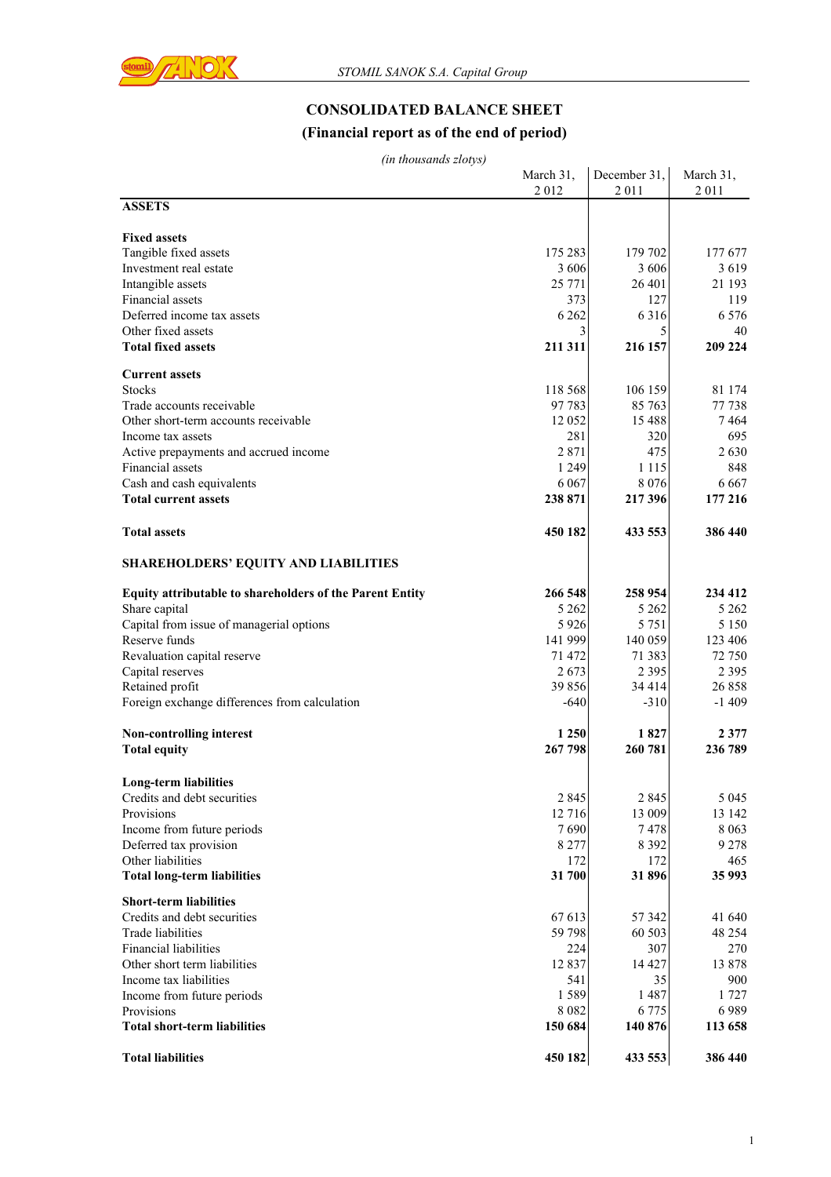

# **CONSOLIDATED BALANCE SHEET**

#### **(Financial report as of the end of period)**

| (in thousands zlotys) |              |
|-----------------------|--------------|
|                       | March $31$ , |

| uu uuousunus 2000,99                                            | March 31.<br>2012 | December 31,<br>2011 | March 31,<br>2011 |
|-----------------------------------------------------------------|-------------------|----------------------|-------------------|
| <b>ASSETS</b>                                                   |                   |                      |                   |
|                                                                 |                   |                      |                   |
| <b>Fixed assets</b>                                             | 175 283           | 179 702              | 177 677           |
| Tangible fixed assets<br>Investment real estate                 | 3 606             | 3 606                | 3619              |
| Intangible assets                                               | 25 771            | 26 401               | 21 193            |
| Financial assets                                                | 373               | 127                  | 119               |
| Deferred income tax assets                                      | 6 2 6 2           | 6 3 1 6              | 6 5 7 6           |
| Other fixed assets                                              | 3                 | 5                    | 40                |
| <b>Total fixed assets</b>                                       | 211 311           | 216 157              | 209 224           |
| <b>Current assets</b>                                           |                   |                      |                   |
| <b>Stocks</b>                                                   | 118 568           | 106 159              | 81 174            |
| Trade accounts receivable                                       | 97 783            | 85 763               | 77 738            |
| Other short-term accounts receivable                            | 12 052            | 15 488               | 7464              |
| Income tax assets                                               | 281               | 320                  | 695               |
| Active prepayments and accrued income                           | 2871              | 475                  | 2630              |
| Financial assets                                                | 1 2 4 9           | 1 1 1 5              | 848               |
| Cash and cash equivalents                                       | 6 0 6 7           | 8 0 7 6              | 6 6 6 7           |
| <b>Total current assets</b>                                     | 238 871           | 217 396              | 177 216           |
| <b>Total assets</b>                                             | 450 182           | 433 553              | 386 440           |
| <b>SHAREHOLDERS' EQUITY AND LIABILITIES</b>                     |                   |                      |                   |
| <b>Equity attributable to shareholders of the Parent Entity</b> | 266 548           | 258 954              | 234 412           |
| Share capital                                                   | 5 2 6 2           | 5 2 6 2              | 5 2 6 2           |
| Capital from issue of managerial options                        | 5 9 2 6           | 5 7 5 1              | 5 1 5 0           |
| Reserve funds                                                   | 141 999           | 140 059              | 123 406           |
| Revaluation capital reserve                                     | 71 472            | 71 383               | 72 750            |
| Capital reserves                                                | 2673              | 2 3 9 5              | 2 3 9 5           |
| Retained profit                                                 | 39 856            | 34 414               | 26 858            |
| Foreign exchange differences from calculation                   | $-640$            | $-310$               | $-1409$           |
| <b>Non-controlling interest</b>                                 | 1 2 5 0           | 1827                 | 2 3 7 7           |
| <b>Total equity</b>                                             | 267 798           | 260 781              | 236 789           |
| Long-term liabilities                                           |                   |                      |                   |
| Credits and debt securities                                     | 2 8 4 5           | 2 8 4 5              | 5 0 4 5           |
| Provisions                                                      | 12 716            | 13 009               | 13 142            |
| Income from future periods                                      | 7690              | 7478                 | 8 0 6 3           |
| Deferred tax provision                                          | 8 2 7 7           | 8 3 9 2              | 9 2 7 8           |
| Other liabilities                                               | 172               | 172                  | 465               |
| <b>Total long-term liabilities</b>                              | 31 700            | 31896                | 35 993            |
| <b>Short-term liabilities</b>                                   |                   |                      |                   |
| Credits and debt securities                                     | 67 613            | 57 342               | 41 640            |
| <b>Trade liabilities</b>                                        | 59 798            | 60 503               | 48 254            |
| Financial liabilities                                           | 224               | 307                  | 270               |
| Other short term liabilities                                    | 12 8 37           | 14 427               | 13878             |
| Income tax liabilities                                          | 541               | 35                   | 900               |
| Income from future periods                                      | 1589              | 1487                 | 1727              |
| Provisions                                                      | 8 0 8 2           | 6 7 7 5              | 6989              |
| <b>Total short-term liabilities</b>                             | 150 684           | 140 876              | 113 658           |
| <b>Total liabilities</b>                                        | 450 182           | 433 553              | 386 440           |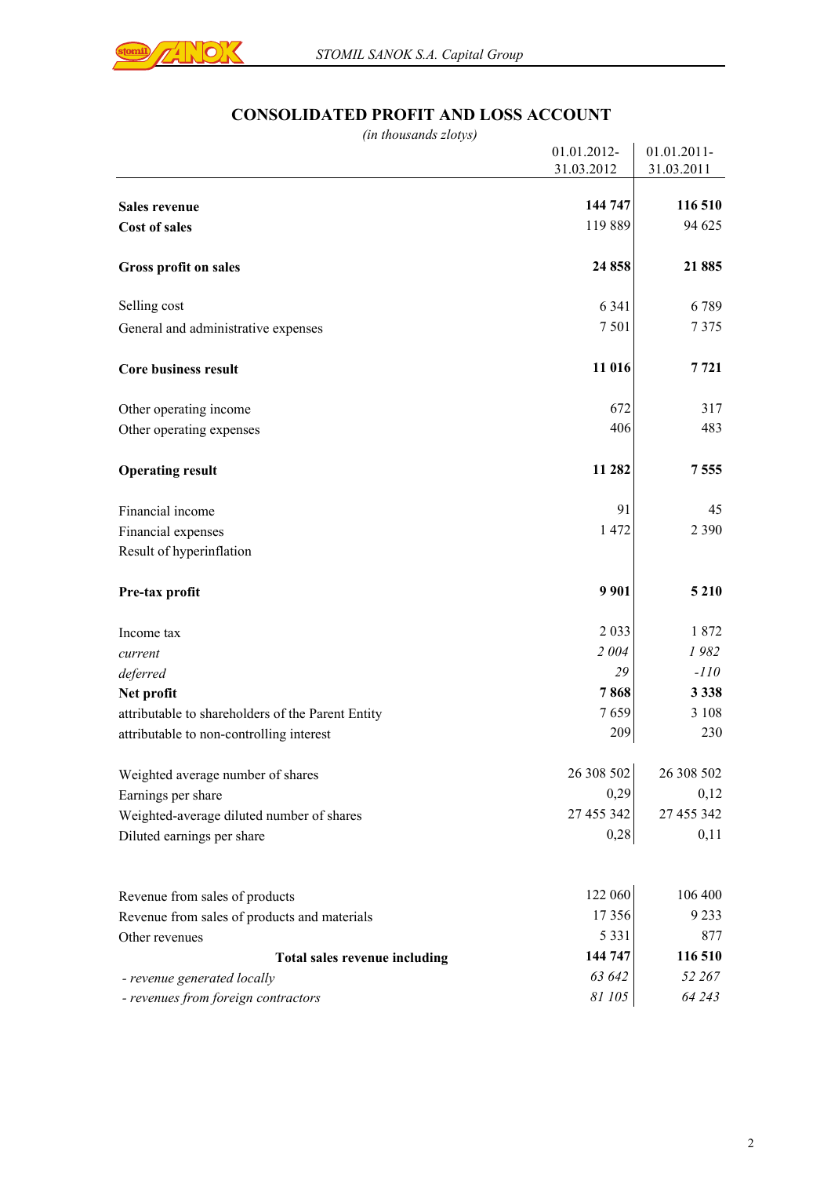

# **CONSOLIDATED PROFIT AND LOSS ACCOUNT**

| (in thousands zlotys)                                              |                  |                    |
|--------------------------------------------------------------------|------------------|--------------------|
|                                                                    | 01.01.2012-      | 01.01.2011-        |
|                                                                    | 31.03.2012       | 31.03.2011         |
| <b>Sales revenue</b>                                               | 144 747          | 116 510            |
|                                                                    | 119889           | 94 625             |
| <b>Cost of sales</b>                                               |                  |                    |
| Gross profit on sales                                              | 24 858           | 21 885             |
| Selling cost                                                       | 6 3 4 1          | 6789               |
| General and administrative expenses                                | 7501             | 7375               |
| <b>Core business result</b>                                        | 11 016           | 7 7 2 1            |
| Other operating income                                             | 672              | 317                |
| Other operating expenses                                           | 406              | 483                |
| <b>Operating result</b>                                            | 11 282           | 7555               |
| Financial income                                                   | 91               | 45                 |
| Financial expenses                                                 | 1 472            | 2 3 9 0            |
| Result of hyperinflation                                           |                  |                    |
| Pre-tax profit                                                     | 9 9 0 1          | 5 2 1 0            |
| Income tax                                                         | 2 0 3 3          | 1872               |
| current                                                            | 2004             | 1982               |
| deferred                                                           | 29               | $-110$             |
| Net profit                                                         | 7868             | 3 3 3 8            |
| attributable to shareholders of the Parent Entity                  | 7659             | 3 1 0 8            |
| attributable to non-controlling interest                           | 209              | 230                |
| Weighted average number of shares                                  | 26 308 502       | 26 308 502         |
| Earnings per share                                                 | 0,29             | 0,12               |
| Weighted-average diluted number of shares                          | 27 455 342       | 27 455 342         |
| Diluted earnings per share                                         | 0,28             | 0,11               |
|                                                                    |                  |                    |
| Revenue from sales of products                                     | 122 060<br>17356 | 106 400<br>9 2 3 3 |
| Revenue from sales of products and materials                       | 5 3 3 1          |                    |
| Other revenues                                                     | 144 747          | 877<br>116 510     |
| Total sales revenue including                                      | 63 642           | 52 267             |
| - revenue generated locally<br>- revenues from foreign contractors | 81 105           | 64 243             |
|                                                                    |                  |                    |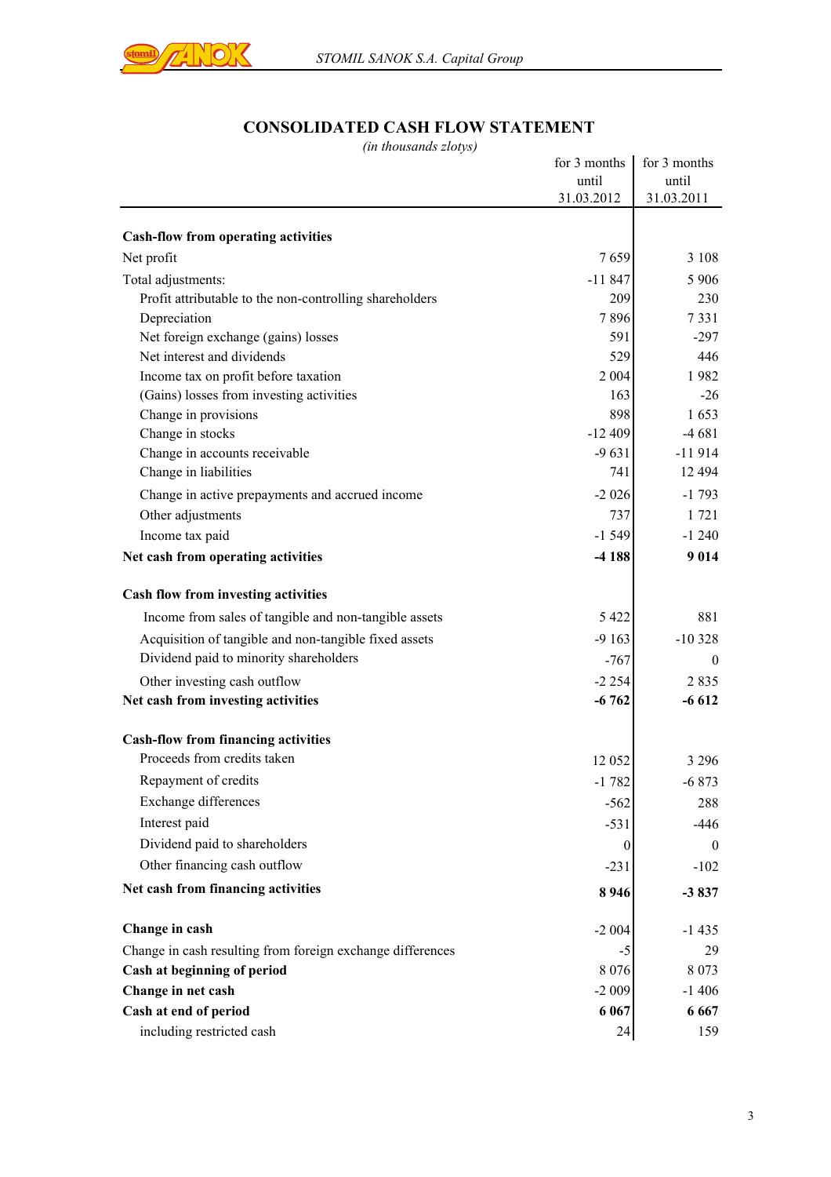

## **CONSOLIDATED CASH FLOW STATEMENT**

*(in thousands zlotys)*

| for 3 months     | for 3 months                                                                                                                                 |
|------------------|----------------------------------------------------------------------------------------------------------------------------------------------|
|                  | until                                                                                                                                        |
|                  | 31.03.2011                                                                                                                                   |
|                  |                                                                                                                                              |
|                  | 3 1 0 8                                                                                                                                      |
|                  | 5 9 0 6                                                                                                                                      |
|                  | 230                                                                                                                                          |
| 7896             | 7331                                                                                                                                         |
| 591              | $-297$                                                                                                                                       |
| 529              | 446                                                                                                                                          |
| 2 0 0 4          | 1982                                                                                                                                         |
| 163              | $-26$                                                                                                                                        |
| 898              | 1653                                                                                                                                         |
| $-12409$         | $-4681$                                                                                                                                      |
| $-9631$          | $-11914$                                                                                                                                     |
| 741              | 12 4 94                                                                                                                                      |
| $-2026$          | $-1793$                                                                                                                                      |
| 737              | 1 721                                                                                                                                        |
| $-1549$          | $-1240$                                                                                                                                      |
| $-4188$          | 9014                                                                                                                                         |
|                  |                                                                                                                                              |
| 5 4 2 2          | 881                                                                                                                                          |
|                  | $-10328$                                                                                                                                     |
|                  | $\theta$                                                                                                                                     |
|                  | 2835                                                                                                                                         |
| $-6762$          | $-6612$                                                                                                                                      |
|                  |                                                                                                                                              |
|                  |                                                                                                                                              |
|                  | 3 2 9 6                                                                                                                                      |
|                  | $-6873$                                                                                                                                      |
|                  | 288                                                                                                                                          |
| $-531$           | -446                                                                                                                                         |
| $\boldsymbol{0}$ | $\overline{0}$                                                                                                                               |
| $-231$           | $-102$                                                                                                                                       |
| 8 9 4 6          | $-3837$                                                                                                                                      |
|                  | $-1435$                                                                                                                                      |
| -5               | 29                                                                                                                                           |
| 8 0 7 6          | 8 0 7 3                                                                                                                                      |
|                  | $-1406$                                                                                                                                      |
|                  | 6 6 6 7                                                                                                                                      |
| 24               | 159                                                                                                                                          |
|                  | until<br>31.03.2012<br>7659<br>$-11847$<br>209<br>$-9163$<br>-767<br>$-2254$<br>12 052<br>$-1782$<br>$-562$<br>$-2004$<br>$-2009$<br>6 0 6 7 |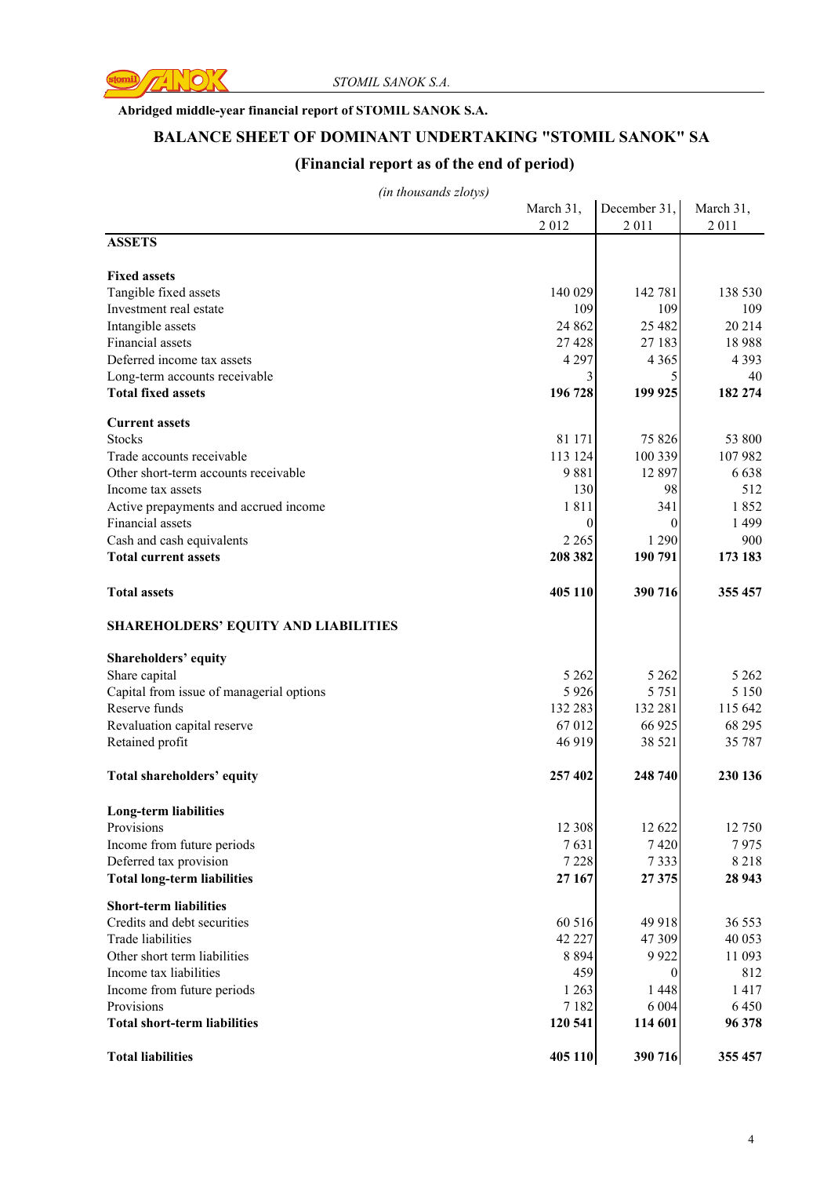

#### **Abridged middle-year financial report of STOMIL SANOK S.A.**

### **BALANCE SHEET OF DOMINANT UNDERTAKING "STOMIL SANOK" SA**

## **(Financial report as of the end of period)**

*(in thousands zlotys)*

|                                             | March 31, | December 31, | March 31, |
|---------------------------------------------|-----------|--------------|-----------|
|                                             | 2012      | 2011         | 2011      |
| <b>ASSETS</b>                               |           |              |           |
| <b>Fixed assets</b>                         |           |              |           |
| Tangible fixed assets                       | 140 029   | 142 781      | 138 530   |
| Investment real estate                      | 109       | 109          | 109       |
| Intangible assets                           | 24 862    | 25 4 82      | 20214     |
| Financial assets                            | 27 4 28   | 27 183       | 18988     |
| Deferred income tax assets                  | 4 2 9 7   | 4 3 6 5      | 4 3 9 3   |
| Long-term accounts receivable               | 3         | 5            | 40        |
| <b>Total fixed assets</b>                   | 196 728   | 199 925      | 182 274   |
| <b>Current assets</b>                       |           |              |           |
| <b>Stocks</b>                               | 81 171    | 75 826       | 53 800    |
| Trade accounts receivable                   | 113 124   | 100 339      | 107982    |
| Other short-term accounts receivable        | 9881      | 12 897       | 6638      |
| Income tax assets                           | 130       | 98           | 512       |
| Active prepayments and accrued income       | 1811      | 341          | 1852      |
| Financial assets                            | $\theta$  | $\theta$     | 1499      |
| Cash and cash equivalents                   | 2 2 6 5   | 1 2 9 0      | 900       |
| <b>Total current assets</b>                 | 208 382   | 190 791      | 173 183   |
|                                             |           |              |           |
| <b>Total assets</b>                         | 405 110   | 390 716      | 355 457   |
| <b>SHAREHOLDERS' EQUITY AND LIABILITIES</b> |           |              |           |
| <b>Shareholders' equity</b>                 |           |              |           |
| Share capital                               | 5 2 6 2   | 5 2 6 2      | 5 2 6 2   |
| Capital from issue of managerial options    | 5 9 2 6   | 5 7 5 1      | 5 1 5 0   |
| Reserve funds                               | 132 283   | 132 281      | 115 642   |
| Revaluation capital reserve                 | 67 012    | 66 925       | 68 295    |
| Retained profit                             | 46 919    | 38 5 21      | 35 787    |
| Total shareholders' equity                  | 257 402   | 248 740      | 230 136   |
| <b>Long-term liabilities</b>                |           |              |           |
| Provisions                                  | 12 308    | 12 622       | 12 750    |
| Income from future periods                  | 7631      | 7420         | 7975      |
| Deferred tax provision                      | 7 2 2 8   | 7333         | 8218      |
| <b>Total long-term liabilities</b>          | 27 167    | 27375        | 28 943    |
| <b>Short-term liabilities</b>               |           |              |           |
| Credits and debt securities                 | 60 516    | 49 918       | 36 553    |
| Trade liabilities                           | 42 227    | 47 309       | 40 053    |
| Other short term liabilities                | 8 8 9 4   | 9922         | 11 093    |
| Income tax liabilities                      | 459       | $\theta$     | 812       |
| Income from future periods                  | 1 2 6 3   | 1 4 4 8      | 1417      |
| Provisions                                  | 7 1 8 2   | 6 0 0 4      | 6450      |
| <b>Total short-term liabilities</b>         | 120 541   | 114 601      | 96 378    |
| <b>Total liabilities</b>                    | 405 110   | 390 716      | 355 457   |
|                                             |           |              |           |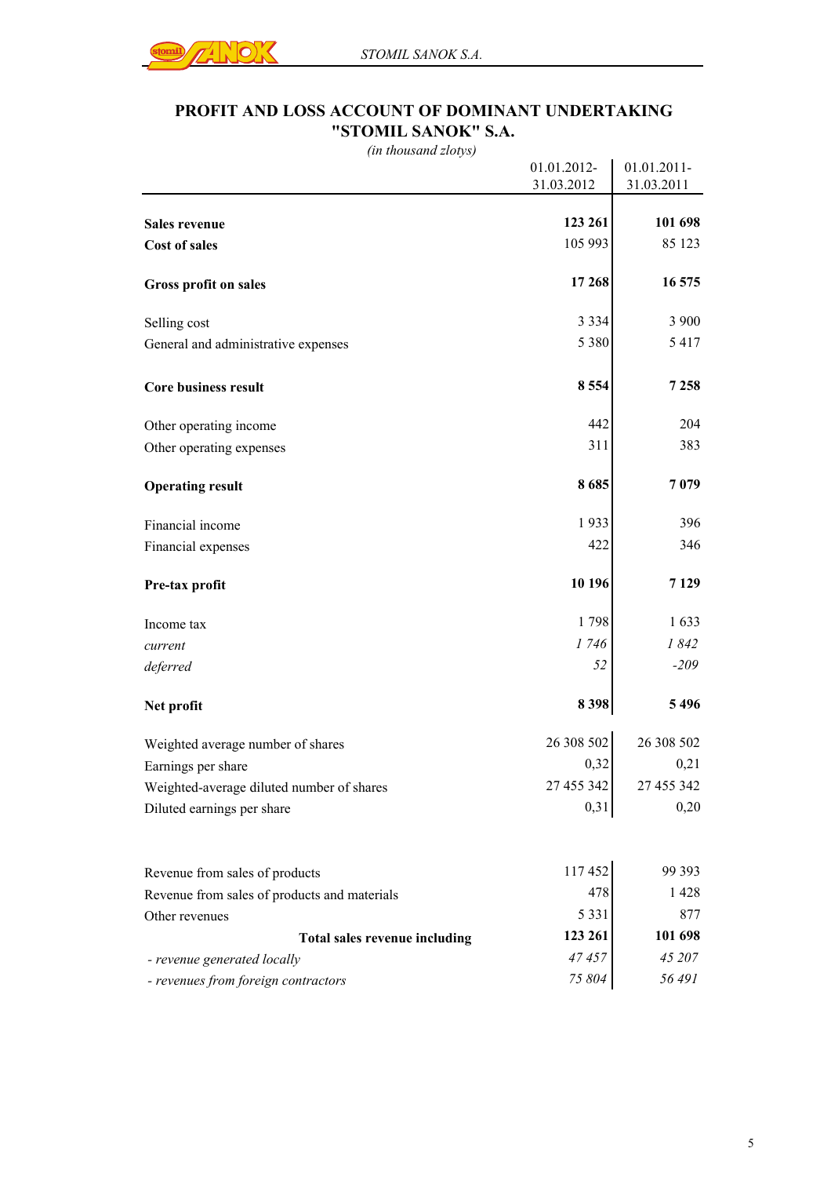

### **PROFIT AND LOSS ACCOUNT OF DOMINANT UNDERTAKING "STOMIL SANOK" S.A.**

*(in thousand zlotys)*

|                                              | 01.01.2012- | 01.01.2011- |
|----------------------------------------------|-------------|-------------|
|                                              | 31.03.2012  | 31.03.2011  |
|                                              |             |             |
| Sales revenue                                | 123 261     | 101 698     |
| <b>Cost of sales</b>                         | 105 993     | 85 123      |
| Gross profit on sales                        | 17 268      | 16 575      |
| Selling cost                                 | 3 3 3 4     | 3 900       |
| General and administrative expenses          | 5 3 8 0     | 5417        |
| Core business result                         | 8554        | 7 2 5 8     |
| Other operating income                       | 442         | 204         |
| Other operating expenses                     | 311         | 383         |
| <b>Operating result</b>                      | 8685        | 7079        |
| Financial income                             | 1933        | 396         |
| Financial expenses                           | 422         | 346         |
| Pre-tax profit                               | 10 196      | 7129        |
| Income tax                                   | 1798        | 1633        |
| current                                      | 1746        | 1842        |
| deferred                                     | 52          | $-209$      |
| Net profit                                   | 8398        | 5496        |
| Weighted average number of shares            | 26 308 502  | 26 308 502  |
| Earnings per share                           | 0,32        | 0,21        |
| Weighted-average diluted number of shares    | 27 455 342  | 27 455 342  |
| Diluted earnings per share                   | 0,31        | 0,20        |
| Revenue from sales of products               | 117452      | 99 393      |
| Revenue from sales of products and materials | 478         | 1428        |
| Other revenues                               | 5 3 3 1     | 877         |
| Total sales revenue including                | 123 261     | 101 698     |
| - revenue generated locally                  | 47 457      | 45 207      |
| - revenues from foreign contractors          | 75 804      | 56491       |